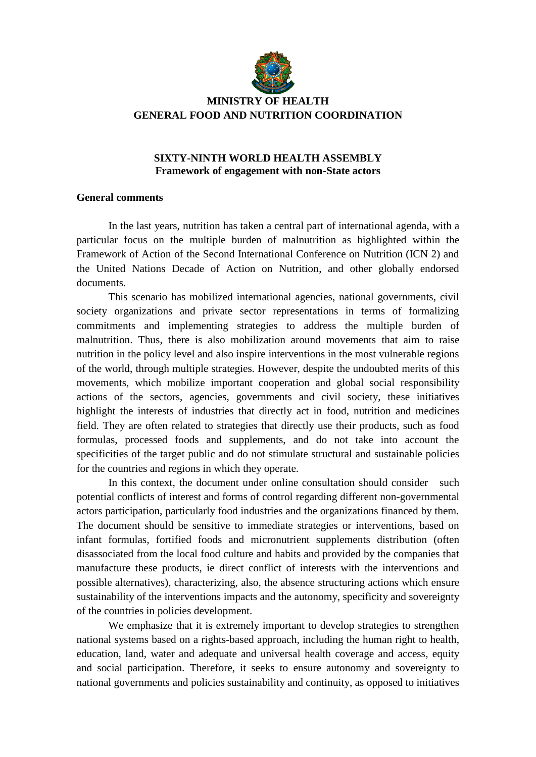

## **MINISTRY OF HEALTH GENERAL FOOD AND NUTRITION COORDINATION**

## **SIXTY-NINTH WORLD HEALTH ASSEMBLY Framework of engagement with non-State actors**

## **General comments**

In the last years, nutrition has taken a central part of international agenda, with a particular focus on the multiple burden of malnutrition as highlighted within the Framework of Action of the Second International Conference on Nutrition (ICN 2) and the United Nations Decade of Action on Nutrition, and other globally endorsed documents.

This scenario has mobilized international agencies, national governments, civil society organizations and private sector representations in terms of formalizing commitments and implementing strategies to address the multiple burden of malnutrition. Thus, there is also mobilization around movements that aim to raise nutrition in the policy level and also inspire interventions in the most vulnerable regions of the world, through multiple strategies. However, despite the undoubted merits of this movements, which mobilize important cooperation and global social responsibility actions of the sectors, agencies, governments and civil society, these initiatives highlight the interests of industries that directly act in food, nutrition and medicines field. They are often related to strategies that directly use their products, such as food formulas, processed foods and supplements, and do not take into account the specificities of the target public and do not stimulate structural and sustainable policies for the countries and regions in which they operate.

In this context, the document under online consultation should consider such potential conflicts of interest and forms of control regarding different non-governmental actors participation, particularly food industries and the organizations financed by them. The document should be sensitive to immediate strategies or interventions, based on infant formulas, fortified foods and micronutrient supplements distribution (often disassociated from the local food culture and habits and provided by the companies that manufacture these products, ie direct conflict of interests with the interventions and possible alternatives), characterizing, also, the absence structuring actions which ensure sustainability of the interventions impacts and the autonomy, specificity and sovereignty of the countries in policies development.

We emphasize that it is extremely important to develop strategies to strengthen national systems based on a rights-based approach, including the human right to health, education, land, water and adequate and universal health coverage and access, equity and social participation. Therefore, it seeks to ensure autonomy and sovereignty to national governments and policies sustainability and continuity, as opposed to initiatives